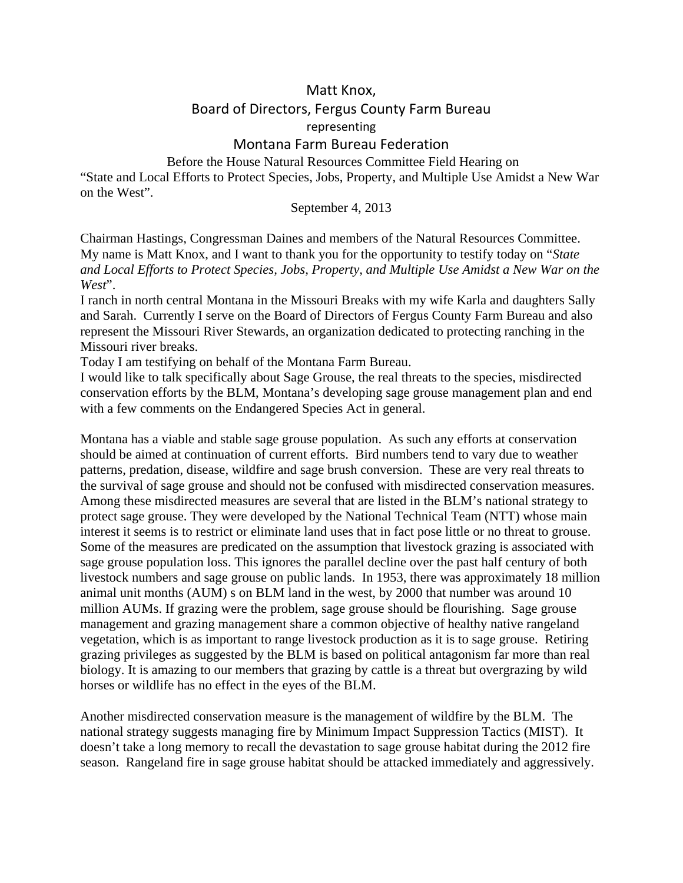## Matt Knox, Board of Directors, Fergus County Farm Bureau representing

## Montana Farm Bureau Federation

 Before the House Natural Resources Committee Field Hearing on "State and Local Efforts to Protect Species, Jobs, Property, and Multiple Use Amidst a New War on the West".

## September 4, 2013

Chairman Hastings, Congressman Daines and members of the Natural Resources Committee. My name is Matt Knox, and I want to thank you for the opportunity to testify today on "*State and Local Efforts to Protect Species, Jobs, Property, and Multiple Use Amidst a New War on the West*".

I ranch in north central Montana in the Missouri Breaks with my wife Karla and daughters Sally and Sarah. Currently I serve on the Board of Directors of Fergus County Farm Bureau and also represent the Missouri River Stewards, an organization dedicated to protecting ranching in the Missouri river breaks.

Today I am testifying on behalf of the Montana Farm Bureau.

I would like to talk specifically about Sage Grouse, the real threats to the species, misdirected conservation efforts by the BLM, Montana's developing sage grouse management plan and end with a few comments on the Endangered Species Act in general.

Montana has a viable and stable sage grouse population. As such any efforts at conservation should be aimed at continuation of current efforts. Bird numbers tend to vary due to weather patterns, predation, disease, wildfire and sage brush conversion. These are very real threats to the survival of sage grouse and should not be confused with misdirected conservation measures. Among these misdirected measures are several that are listed in the BLM's national strategy to protect sage grouse. They were developed by the National Technical Team (NTT) whose main interest it seems is to restrict or eliminate land uses that in fact pose little or no threat to grouse. Some of the measures are predicated on the assumption that livestock grazing is associated with sage grouse population loss. This ignores the parallel decline over the past half century of both livestock numbers and sage grouse on public lands. In 1953, there was approximately 18 million animal unit months (AUM) s on BLM land in the west, by 2000 that number was around 10 million AUMs. If grazing were the problem, sage grouse should be flourishing. Sage grouse management and grazing management share a common objective of healthy native rangeland vegetation, which is as important to range livestock production as it is to sage grouse. Retiring grazing privileges as suggested by the BLM is based on political antagonism far more than real biology. It is amazing to our members that grazing by cattle is a threat but overgrazing by wild horses or wildlife has no effect in the eyes of the BLM.

Another misdirected conservation measure is the management of wildfire by the BLM. The national strategy suggests managing fire by Minimum Impact Suppression Tactics (MIST). It doesn't take a long memory to recall the devastation to sage grouse habitat during the 2012 fire season. Rangeland fire in sage grouse habitat should be attacked immediately and aggressively.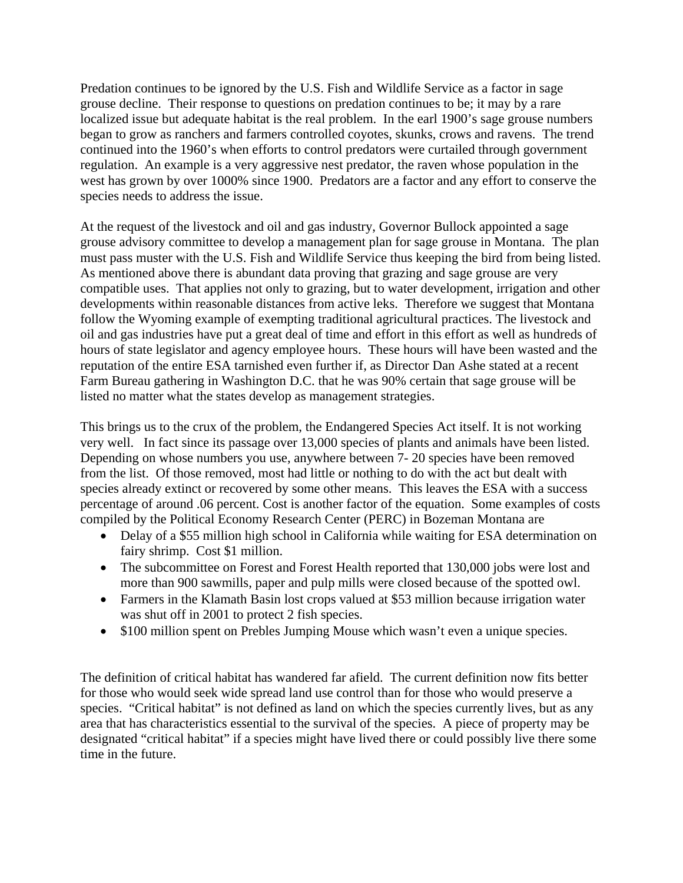Predation continues to be ignored by the U.S. Fish and Wildlife Service as a factor in sage grouse decline. Their response to questions on predation continues to be; it may by a rare localized issue but adequate habitat is the real problem. In the earl 1900's sage grouse numbers began to grow as ranchers and farmers controlled coyotes, skunks, crows and ravens. The trend continued into the 1960's when efforts to control predators were curtailed through government regulation. An example is a very aggressive nest predator, the raven whose population in the west has grown by over 1000% since 1900. Predators are a factor and any effort to conserve the species needs to address the issue.

At the request of the livestock and oil and gas industry, Governor Bullock appointed a sage grouse advisory committee to develop a management plan for sage grouse in Montana. The plan must pass muster with the U.S. Fish and Wildlife Service thus keeping the bird from being listed. As mentioned above there is abundant data proving that grazing and sage grouse are very compatible uses. That applies not only to grazing, but to water development, irrigation and other developments within reasonable distances from active leks. Therefore we suggest that Montana follow the Wyoming example of exempting traditional agricultural practices. The livestock and oil and gas industries have put a great deal of time and effort in this effort as well as hundreds of hours of state legislator and agency employee hours. These hours will have been wasted and the reputation of the entire ESA tarnished even further if, as Director Dan Ashe stated at a recent Farm Bureau gathering in Washington D.C. that he was 90% certain that sage grouse will be listed no matter what the states develop as management strategies.

This brings us to the crux of the problem, the Endangered Species Act itself. It is not working very well. In fact since its passage over 13,000 species of plants and animals have been listed. Depending on whose numbers you use, anywhere between 7- 20 species have been removed from the list. Of those removed, most had little or nothing to do with the act but dealt with species already extinct or recovered by some other means. This leaves the ESA with a success percentage of around .06 percent. Cost is another factor of the equation. Some examples of costs compiled by the Political Economy Research Center (PERC) in Bozeman Montana are

- Delay of a \$55 million high school in California while waiting for ESA determination on fairy shrimp. Cost \$1 million.
- The subcommittee on Forest and Forest Health reported that 130,000 jobs were lost and more than 900 sawmills, paper and pulp mills were closed because of the spotted owl.
- Farmers in the Klamath Basin lost crops valued at \$53 million because irrigation water was shut off in 2001 to protect 2 fish species.
- \$100 million spent on Prebles Jumping Mouse which wasn't even a unique species.

The definition of critical habitat has wandered far afield. The current definition now fits better for those who would seek wide spread land use control than for those who would preserve a species. "Critical habitat" is not defined as land on which the species currently lives, but as any area that has characteristics essential to the survival of the species. A piece of property may be designated "critical habitat" if a species might have lived there or could possibly live there some time in the future.